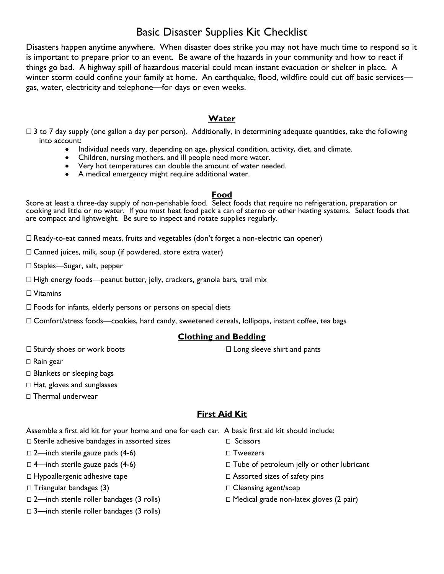# Basic Disaster Supplies Kit Checklist

Disasters happen anytime anywhere. When disaster does strike you may not have much time to respond so it is important to prepare prior to an event. Be aware of the hazards in your community and how to react if things go bad. A highway spill of hazardous material could mean instant evacuation or shelter in place. A winter storm could confine your family at home. An earthquake, flood, wildfire could cut off basic services gas, water, electricity and telephone—for days or even weeks.

### **Water**

- $\Box$  3 to 7 day supply (one gallon a day per person). Additionally, in determining adequate quantities, take the following into account:
	- Individual needs vary, depending on age, physical condition, activity, diet, and climate.
	- Children, nursing mothers, and ill people need more water.
	- Very hot temperatures can double the amount of water needed.
	- A medical emergency might require additional water.

### **Food**

Store at least a three-day supply of non-perishable food. Select foods that require no refrigeration, preparation or cooking and little or no water. If you must heat food pack a can of sterno or other heating systems. Select foods that are compact and lightweight. Be sure to inspect and rotate supplies regularly.

 $\Box$  Ready-to-eat canned meats, fruits and vegetables (don't forget a non-electric can opener)

 $\Box$  Canned juices, milk, soup (if powdered, store extra water)

□ Staples—Sugar, salt, pepper

 $\Box$  High energy foods—peanut butter, jelly, crackers, granola bars, trail mix

□ Vitamins

 $\Box$  Foods for infants, elderly persons or persons on special diets

□ Comfort/stress foods—cookies, hard candy, sweetened cereals, lollipops, instant coffee, tea bags

### **Clothing and Bedding**

 $\Box$  Sturdy shoes or work boots

 $\Box$  Long sleeve shirt and pants

□ Rain gear

 $\Box$  Blankets or sleeping bags

 $\Box$  Hat, gloves and sunglasses

□ Thermal underwear

## **First Aid Kit**

Assemble a first aid kit for your home and one for each car. A basic first aid kit should include:

- □ Sterile adhesive bandages in assorted sizes
- $\Box$  2—inch sterile gauze pads (4-6)
- $\Box$  4—inch sterile gauze pads (4-6)
- □ Hypoallergenic adhesive tape
- $\Box$  Triangular bandages (3)
- $\Box$  2—inch sterile roller bandages (3 rolls)
- $\Box$  3—inch sterile roller bandages (3 rolls)
- □ Scissors
- □ Tweezers
- $\Box$  Tube of petroleum jelly or other lubricant
- $\Box$  Assorted sizes of safety pins
- □ Cleansing agent/soap
- $\Box$  Medical grade non-latex gloves (2 pair)